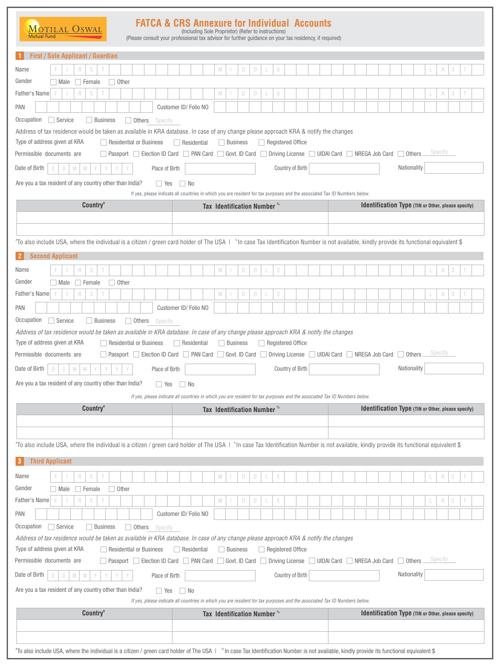## **FATCA & CRS Annexure for Individual Accounts**<br>(Including Sole Proprietor) (Refer to instructions)  $\underbrace{\text{M}_\text{Outual Fund}\xspace} \underbrace{\text{O}_\text{SWAL}}$ (Please consult your professional tax advisor for further guidance on your tax residency, if required)

| <b>First / Sole Applicant / Guardian</b><br>$\vert$ 1                                                                                                                                           |                                                                                                                           |                                        |          |   |                   |   |                          |  |  |  |                                                           |             |  |         |                                                           |  |
|-------------------------------------------------------------------------------------------------------------------------------------------------------------------------------------------------|---------------------------------------------------------------------------------------------------------------------------|----------------------------------------|----------|---|-------------------|---|--------------------------|--|--|--|-----------------------------------------------------------|-------------|--|---------|-----------------------------------------------------------|--|
| S<br>Name<br>R                                                                                                                                                                                  |                                                                                                                           | M                                      |          | D | D                 | Е |                          |  |  |  |                                                           |             |  |         |                                                           |  |
| Gender<br>$\Box$ Female<br>$\Box$ Other<br>  Male                                                                                                                                               |                                                                                                                           |                                        |          |   |                   |   |                          |  |  |  |                                                           |             |  |         |                                                           |  |
| Father's Name F<br>$\mathsf R$<br>S                                                                                                                                                             |                                                                                                                           | M                                      |          | D | D                 |   |                          |  |  |  |                                                           |             |  | A       |                                                           |  |
| PAN                                                                                                                                                                                             | Customer ID/Folio NO                                                                                                      |                                        |          |   |                   |   |                          |  |  |  |                                                           |             |  |         |                                                           |  |
| Occupation<br>Service<br>Business<br>Others<br>Specify                                                                                                                                          |                                                                                                                           |                                        |          |   |                   |   |                          |  |  |  |                                                           |             |  |         |                                                           |  |
| Address of tax residence would be taken as available in KRA database. In case of any change please approach KRA & notify the changes                                                            |                                                                                                                           |                                        |          |   |                   |   |                          |  |  |  |                                                           |             |  |         |                                                           |  |
| Type of address given at KRA<br>$\Box$ Residential or Business                                                                                                                                  | Residential                                                                                                               |                                        | Business |   | Registered Office |   |                          |  |  |  |                                                           |             |  | Specify |                                                           |  |
| □ Passport □ Election ID Card □ PAN Card □ Govt. ID Card □ Driving License □ UIDAI Card □ NREGA Job Card □ Others<br>Permissible documents are                                                  |                                                                                                                           |                                        |          |   |                   |   |                          |  |  |  |                                                           |             |  |         |                                                           |  |
| Date of Birth<br>D<br>$\Box$<br>$\mathbb N$<br>M                                                                                                                                                | Place of Birth                                                                                                            |                                        |          |   |                   |   | Country of Birth         |  |  |  |                                                           | Nationality |  |         |                                                           |  |
| Are you a tax resident of any country other than India?<br><b>Yes</b>                                                                                                                           | No                                                                                                                        |                                        |          |   |                   |   |                          |  |  |  |                                                           |             |  |         |                                                           |  |
| Country <sup>*</sup>                                                                                                                                                                            | If yes, please indicate all countries in which you are resident for tax purposes and the associated Tax ID Numbers below. | Tax Identification Number **           |          |   |                   |   |                          |  |  |  | <b>Identification Type (TIN or Other, please specify)</b> |             |  |         |                                                           |  |
|                                                                                                                                                                                                 |                                                                                                                           |                                        |          |   |                   |   |                          |  |  |  |                                                           |             |  |         |                                                           |  |
|                                                                                                                                                                                                 |                                                                                                                           |                                        |          |   |                   |   |                          |  |  |  |                                                           |             |  |         |                                                           |  |
| "To also include USA, where the individual is a citizen / green card holder of The USA   "In case Tax Identification Number is not available, kindly provide its functional equivalent \$       |                                                                                                                           |                                        |          |   |                   |   |                          |  |  |  |                                                           |             |  |         |                                                           |  |
| <b>Second Applicant</b><br> 2                                                                                                                                                                   |                                                                                                                           |                                        |          |   |                   |   |                          |  |  |  |                                                           |             |  |         |                                                           |  |
| S<br>Name<br>R                                                                                                                                                                                  |                                                                                                                           | M                                      |          | D | D                 | E |                          |  |  |  |                                                           |             |  |         |                                                           |  |
| Gender<br>$\Box$ Other<br>Male<br>Female                                                                                                                                                        |                                                                                                                           |                                        |          |   |                   |   |                          |  |  |  |                                                           |             |  |         |                                                           |  |
| Father's Name<br>R<br>S<br>F                                                                                                                                                                    |                                                                                                                           | M                                      |          | D | D                 |   |                          |  |  |  |                                                           |             |  |         |                                                           |  |
| <b>PAN</b>                                                                                                                                                                                      | Customer ID/ Folio NO                                                                                                     |                                        |          |   |                   |   |                          |  |  |  |                                                           |             |  |         |                                                           |  |
| Occupation<br>Service<br>Business<br>$\Box$ Others<br>Specify                                                                                                                                   |                                                                                                                           |                                        |          |   |                   |   |                          |  |  |  |                                                           |             |  |         |                                                           |  |
| Address of tax residence would be taken as available in KRA database. In case of any change please approach KRA & notify the changes                                                            |                                                                                                                           |                                        |          |   |                   |   |                          |  |  |  |                                                           |             |  |         |                                                           |  |
| Type of address given at KRA<br>Residential or Business                                                                                                                                         | Residential                                                                                                               |                                        | Business |   |                   |   | $\Box$ Registered Office |  |  |  |                                                           |             |  |         |                                                           |  |
|                                                                                                                                                                                                 |                                                                                                                           |                                        |          |   |                   |   |                          |  |  |  |                                                           |             |  |         |                                                           |  |
| Passport Election ID Card PAN Card Govt. ID Card Driving License UIDAI Card NREGA Job Card Others                                                                                               |                                                                                                                           |                                        |          |   |                   |   |                          |  |  |  |                                                           |             |  | Specity |                                                           |  |
| Permissible documents are<br>Date of Birth<br>D<br>$\Box$<br>M<br>M<br>Y                                                                                                                        | Place of Birth                                                                                                            |                                        |          |   |                   |   | Country of Birth         |  |  |  |                                                           | Nationality |  |         |                                                           |  |
| Are you a tax resident of any country other than India?<br><b>Yes</b>                                                                                                                           | $\Box$ No                                                                                                                 |                                        |          |   |                   |   |                          |  |  |  |                                                           |             |  |         |                                                           |  |
|                                                                                                                                                                                                 | If yes, please indicate all countries in which you are resident for tax purposes and the associated Tax ID Numbers below. |                                        |          |   |                   |   |                          |  |  |  |                                                           |             |  |         |                                                           |  |
| Country <sup>*</sup>                                                                                                                                                                            |                                                                                                                           | Tax Identification Number <sup>®</sup> |          |   |                   |   |                          |  |  |  | <b>Identification Type (TIN or Other, please specify)</b> |             |  |         |                                                           |  |
|                                                                                                                                                                                                 |                                                                                                                           |                                        |          |   |                   |   |                          |  |  |  |                                                           |             |  |         |                                                           |  |
|                                                                                                                                                                                                 |                                                                                                                           |                                        |          |   |                   |   |                          |  |  |  |                                                           |             |  |         |                                                           |  |
| "To also include USA, where the individual is a citizen / green card holder of The USA   "In case Tax Identification Number is not available, kindly provide its functional equivalent \$       |                                                                                                                           |                                        |          |   |                   |   |                          |  |  |  |                                                           |             |  |         |                                                           |  |
| <b>Third Applicant</b><br>$\mathbf{3}$                                                                                                                                                          |                                                                                                                           |                                        |          |   |                   |   |                          |  |  |  |                                                           |             |  |         |                                                           |  |
| Name<br>S<br>$\mathsf R$                                                                                                                                                                        |                                                                                                                           | ${\mathbb N}$                          |          | D | D                 | E |                          |  |  |  |                                                           |             |  | A       |                                                           |  |
| Gender<br>$\Box$ Female<br>Other<br>$\Box$ Male                                                                                                                                                 |                                                                                                                           |                                        |          |   |                   |   |                          |  |  |  |                                                           |             |  |         |                                                           |  |
| Father's Name<br>R<br>S                                                                                                                                                                         |                                                                                                                           | M                                      |          | D | D                 | E |                          |  |  |  |                                                           |             |  | A       |                                                           |  |
| PAN                                                                                                                                                                                             | Customer ID/Folio NO                                                                                                      |                                        |          |   |                   |   |                          |  |  |  |                                                           |             |  |         |                                                           |  |
| Occupation<br>Service<br><b>Business</b><br>$\Box$ Others<br>Specify                                                                                                                            |                                                                                                                           |                                        |          |   |                   |   |                          |  |  |  |                                                           |             |  |         |                                                           |  |
| Address of tax residence would be taken as available in KRA database. In case of any change please approach KRA & notify the changes<br>Type of address given at KRA<br>Residential or Business | $\Box$ Residential                                                                                                        |                                        | Business |   | Registered Office |   |                          |  |  |  |                                                           |             |  |         |                                                           |  |
| Permissible documents are<br>Passport Election ID Card PAN Card Govt. ID Card Driving License UIDAI Card NREGA Job Card Others                                                                  |                                                                                                                           |                                        |          |   |                   |   |                          |  |  |  |                                                           |             |  | Specity |                                                           |  |
| Date of Birth<br>D<br>M<br>M<br>D                                                                                                                                                               | Place of Birth                                                                                                            |                                        |          |   |                   |   | Country of Birth         |  |  |  |                                                           | Nationality |  |         |                                                           |  |
| Are you a tax resident of any country other than India?<br>$\Box$ Yes                                                                                                                           | $\Box$ No                                                                                                                 |                                        |          |   |                   |   |                          |  |  |  |                                                           |             |  |         |                                                           |  |
|                                                                                                                                                                                                 | If yes, please indicate all countries in which you are resident for tax purposes and the associated Tax ID Numbers below. |                                        |          |   |                   |   |                          |  |  |  |                                                           |             |  |         |                                                           |  |
| Country <sup>®</sup>                                                                                                                                                                            |                                                                                                                           | Tax Identification Number <sup>*</sup> |          |   |                   |   |                          |  |  |  |                                                           |             |  |         | <b>Identification Type</b> (TIN or Other, please specify) |  |
|                                                                                                                                                                                                 |                                                                                                                           |                                        |          |   |                   |   |                          |  |  |  |                                                           |             |  |         |                                                           |  |

 $^*$ To also include USA, where the individual is a citizen / green card holder of The USA |  $\,^*$ In case Tax Identification Number is not available, kindly provide its functional equivalent \$